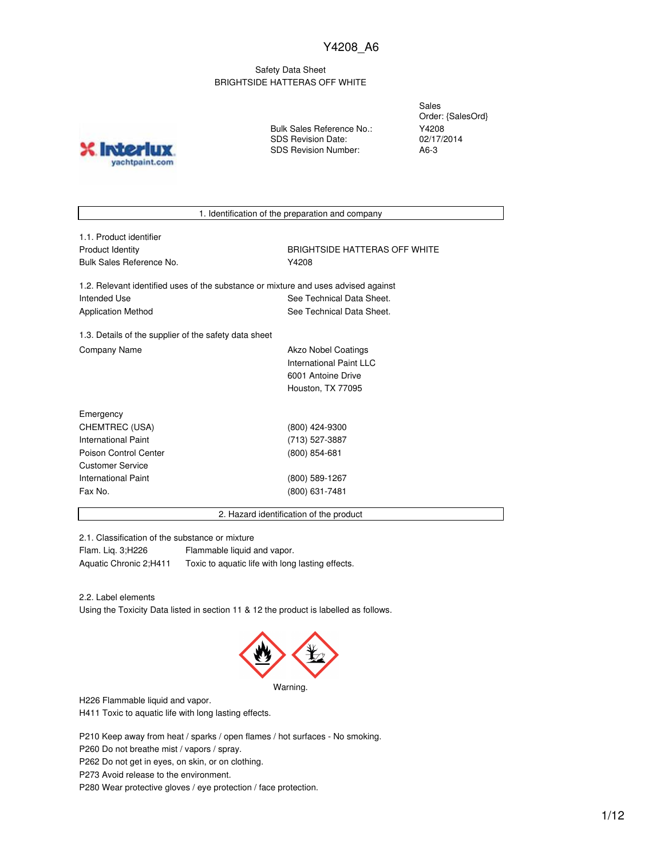#### Safety Data Sheet BRIGHTSIDE HATTERAS OFF WHITE

**X** Inter yachtpaint.com Bulk Sales Reference No.: SDS Revision Date: SDS Revision Number:

Sales Order: {SalesOrd} Y4208 02/17/2014 A6-3

1. Identification of the preparation and company

1.1. Product identifier Bulk Sales Reference No. **Y4208** 

Product Identity **BRIGHTSIDE HATTERAS OFF WHITE** 

1.2. Relevant identified uses of the substance or mixture and uses advised against Intended Use **See Technical Data Sheet.** See Technical Data Sheet. Application Method See Technical Data Sheet.

1.3. Details of the supplier of the safety data sheet Company Name **Akzo Nobel Coatings** Company Name

International Paint LLC 6001 Antoine Drive Houston, TX 77095

| Emergency             |                 |  |
|-----------------------|-----------------|--|
| CHEMTREC (USA)        | (800) 424-9300  |  |
| International Paint   | (713) 527-3887  |  |
| Poison Control Center | $(800)$ 854-681 |  |
| Customer Service      |                 |  |
| International Paint   | (800) 589-1267  |  |
| Fax No.               | (800) 631-7481  |  |
|                       |                 |  |

2. Hazard identification of the product

2.1. Classification of the substance or mixture

Flam. Liq. 3;H226 Flammable liquid and vapor. Aquatic Chronic 2;H411 Toxic to aquatic life with long lasting effects.

2.2. Label elements

Using the Toxicity Data listed in section 11 & 12 the product is labelled as follows.



Warning.

H226 Flammable liquid and vapor.

H411 Toxic to aquatic life with long lasting effects.

P210 Keep away from heat / sparks / open flames / hot surfaces - No smoking.

P260 Do not breathe mist / vapors / spray.

P262 Do not get in eyes, on skin, or on clothing.

P273 Avoid release to the environment.

P280 Wear protective gloves / eye protection / face protection.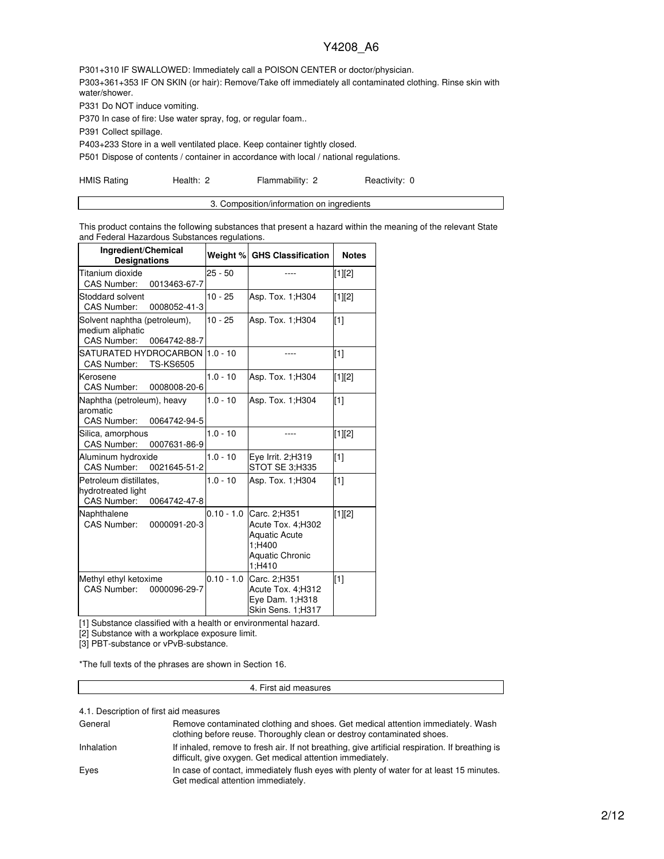P301+310 IF SWALLOWED: Immediately call a POISON CENTER or doctor/physician. P303+361+353 IF ON SKIN (or hair): Remove/Take off immediately all contaminated clothing. Rinse skin with water/shower.

P331 Do NOT induce vomiting.

P370 In case of fire: Use water spray, fog, or regular foam..

P391 Collect spillage.

P403+233 Store in a well ventilated place. Keep container tightly closed.

P501 Dispose of contents / container in accordance with local / national regulations.

HMIS Rating **Health: 2** Flammability: 2 Reactivity: 0

This product contains the following substances that present a hazard within the meaning of the relevant State and Federal Hazardous Substances regulations.

| Ingredient/Chemical<br><b>Designations</b>                             |                  |              | Weight % GHS Classification                                                                      | <b>Notes</b> |
|------------------------------------------------------------------------|------------------|--------------|--------------------------------------------------------------------------------------------------|--------------|
| Titanium dioxide<br>CAS Number:                                        | 0013463-67-7     | $25 - 50$    |                                                                                                  | [1][2]       |
| Stoddard solvent<br><b>CAS Number:</b>                                 | 0008052-41-3     | $10 - 25$    | Asp. Tox. 1; H304                                                                                | [1][2]       |
| Solvent naphtha (petroleum),<br>medium aliphatic<br><b>CAS Number:</b> | 0064742-88-7     | $10 - 25$    | Asp. Tox. 1; H304                                                                                | [1]          |
| SATURATED HYDROCARBON<br>CAS Number:                                   | <b>TS-KS6505</b> | $1.0 - 10$   |                                                                                                  | $\sqrt{11}$  |
| Kerosene<br>CAS Number:                                                | 0008008-20-6     | $1.0 - 10$   | Asp. Tox. 1; H304                                                                                | [1][2]       |
| Naphtha (petroleum), heavy<br>aromatic<br>CAS Number:                  | 0064742-94-5     | $1.0 - 10$   | Asp. Tox. 1; H304                                                                                | [1]          |
| Silica, amorphous<br>CAS Number:                                       | 0007631-86-9     | $1.0 - 10$   | ----                                                                                             | [1][2]       |
| Aluminum hydroxide<br><b>CAS Number:</b>                               | 0021645-51-2     | $1.0 - 10$   | Eye Irrit. 2;H319<br>STOT SE 3;H335                                                              | $[1]$        |
| Petroleum distillates,<br>hydrotreated light<br><b>CAS Number:</b>     | 0064742-47-8     | $1.0 - 10$   | Asp. Tox. 1; H304                                                                                | $\sqrt{11}$  |
| Naphthalene<br><b>CAS Number:</b>                                      | 0000091-20-3     | $0.10 - 1.0$ | Carc. 2;H351<br>Acute Tox. 4;H302<br><b>Aquatic Acute</b><br>1:H400<br>Aquatic Chronic<br>1:H410 | [1][2]       |
| Methyl ethyl ketoxime<br>CAS Number:                                   | 0000096-29-7     | $0.10 - 1.0$ | Carc. 2;H351<br>Acute Tox. 4;H312<br>Eye Dam. 1;H318<br>Skin Sens. 1;H317                        | [1]          |

[1] Substance classified with a health or environmental hazard.

[2] Substance with a workplace exposure limit.

[3] PBT-substance or vPvB-substance.

\*The full texts of the phrases are shown in Section 16.

#### 4. First aid measures

4.1. Description of first aid measures

| General    | Remove contaminated clothing and shoes. Get medical attention immediately. Wash<br>clothing before reuse. Thoroughly clean or destroy contaminated shoes.     |
|------------|---------------------------------------------------------------------------------------------------------------------------------------------------------------|
| Inhalation | If inhaled, remove to fresh air. If not breathing, give artificial respiration. If breathing is<br>difficult, give oxygen. Get medical attention immediately. |
| Eyes       | In case of contact, immediately flush eyes with plenty of water for at least 15 minutes.<br>Get medical attention immediately.                                |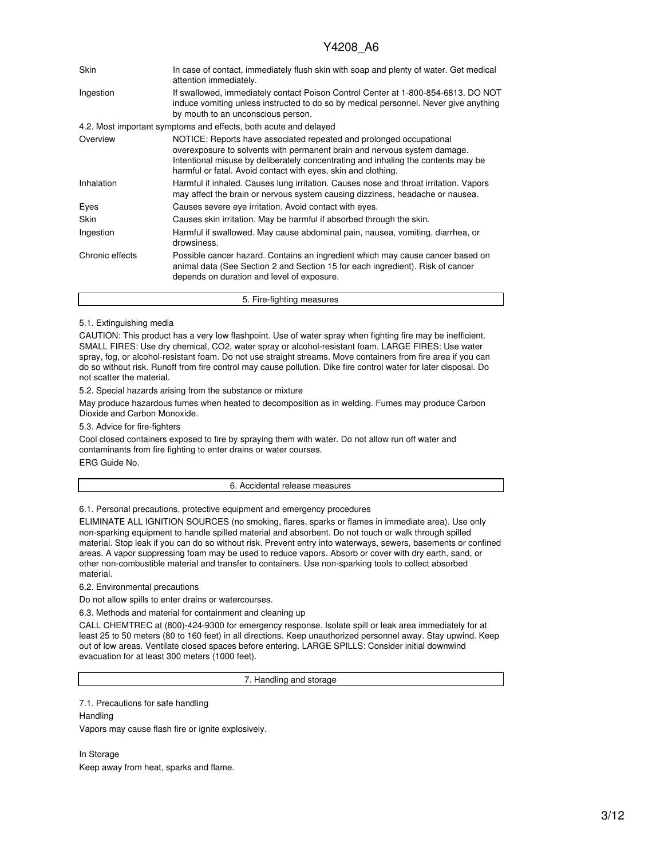| Skin            | In case of contact, immediately flush skin with soap and plenty of water. Get medical<br>attention immediately.                                                                                                                                                                                       |
|-----------------|-------------------------------------------------------------------------------------------------------------------------------------------------------------------------------------------------------------------------------------------------------------------------------------------------------|
| Ingestion       | If swallowed, immediately contact Poison Control Center at 1-800-854-6813. DO NOT<br>induce vomiting unless instructed to do so by medical personnel. Never give anything<br>by mouth to an unconscious person.                                                                                       |
|                 | 4.2. Most important symptoms and effects, both acute and delayed                                                                                                                                                                                                                                      |
| Overview        | NOTICE: Reports have associated repeated and prolonged occupational<br>overexposure to solvents with permanent brain and nervous system damage.<br>Intentional misuse by deliberately concentrating and inhaling the contents may be<br>harmful or fatal. Avoid contact with eyes, skin and clothing. |
| Inhalation      | Harmful if inhaled. Causes lung irritation. Causes nose and throat irritation. Vapors<br>may affect the brain or nervous system causing dizziness, headache or nausea.                                                                                                                                |
| Eyes            | Causes severe eye irritation. Avoid contact with eyes.                                                                                                                                                                                                                                                |
| Skin            | Causes skin irritation. May be harmful if absorbed through the skin.                                                                                                                                                                                                                                  |
| Ingestion       | Harmful if swallowed. May cause abdominal pain, nausea, vomiting, diarrhea, or<br>drowsiness.                                                                                                                                                                                                         |
| Chronic effects | Possible cancer hazard. Contains an ingredient which may cause cancer based on<br>animal data (See Section 2 and Section 15 for each ingredient). Risk of cancer<br>depends on duration and level of exposure.                                                                                        |
|                 | 5. Fire-fighting measures                                                                                                                                                                                                                                                                             |

#### 5.1. Extinguishing media

CAUTION: This product has a very low flashpoint. Use of water spray when fighting fire may be inefficient. SMALL FIRES: Use dry chemical, CO2, water spray or alcohol-resistant foam. LARGE FIRES: Use water spray, fog, or alcohol-resistant foam. Do not use straight streams. Move containers from fire area if you can do so without risk. Runoff from fire control may cause pollution. Dike fire control water for later disposal. Do not scatter the material.

5.2. Special hazards arising from the substance or mixture

May produce hazardous fumes when heated to decomposition as in welding. Fumes may produce Carbon Dioxide and Carbon Monoxide.

5.3. Advice for fire-fighters

Cool closed containers exposed to fire by spraying them with water. Do not allow run off water and contaminants from fire fighting to enter drains or water courses. ERG Guide No.

#### 6. Accidental release measures

6.1. Personal precautions, protective equipment and emergency procedures

ELIMINATE ALL IGNITION SOURCES (no smoking, flares, sparks or flames in immediate area). Use only non-sparking equipment to handle spilled material and absorbent. Do not touch or walk through spilled material. Stop leak if you can do so without risk. Prevent entry into waterways, sewers, basements or confined areas. A vapor suppressing foam may be used to reduce vapors. Absorb or cover with dry earth, sand, or other non-combustible material and transfer to containers. Use non-sparking tools to collect absorbed material.

6.2. Environmental precautions

Do not allow spills to enter drains or watercourses.

6.3. Methods and material for containment and cleaning up

CALL CHEMTREC at (800)-424-9300 for emergency response. Isolate spill or leak area immediately for at least 25 to 50 meters (80 to 160 feet) in all directions. Keep unauthorized personnel away. Stay upwind. Keep out of low areas. Ventilate closed spaces before entering. LARGE SPILLS: Consider initial downwind evacuation for at least 300 meters (1000 feet).

7. Handling and storage

7.1. Precautions for safe handling

**Handling** Vapors may cause flash fire or ignite explosively.

In Storage Keep away from heat, sparks and flame.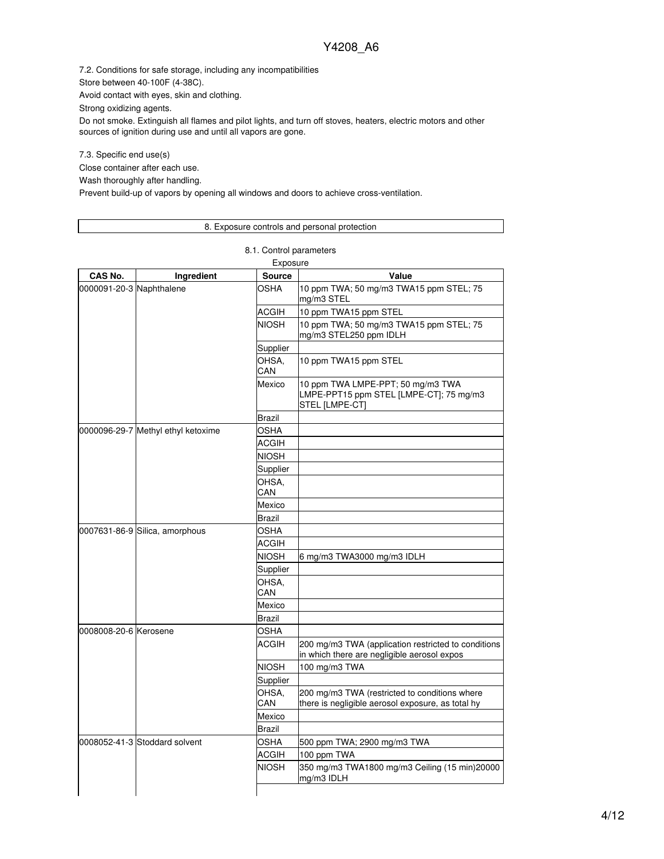7.2. Conditions for safe storage, including any incompatibilities

Store between 40-100F (4-38C).

Avoid contact with eyes, skin and clothing.

Strong oxidizing agents.

Do not smoke. Extinguish all flames and pilot lights, and turn off stoves, heaters, electric motors and other sources of ignition during use and until all vapors are gone.

7.3. Specific end use(s)

Close container after each use.

Wash thoroughly after handling.

Prevent build-up of vapors by opening all windows and doors to achieve cross-ventilation.

#### 8. Exposure controls and personal protection

8.1. Control parameters

| Exposure                 |                                    |               |                                                                                                    |  |
|--------------------------|------------------------------------|---------------|----------------------------------------------------------------------------------------------------|--|
| CAS No.                  | Ingredient                         | <b>Source</b> | Value                                                                                              |  |
| 0000091-20-3 Naphthalene |                                    | OSHA          | 10 ppm TWA; 50 mg/m3 TWA15 ppm STEL; 75<br>mg/m3 STEL                                              |  |
|                          |                                    | ACGIH         | 10 ppm TWA15 ppm STEL                                                                              |  |
|                          |                                    | <b>NIOSH</b>  | 10 ppm TWA; 50 mg/m3 TWA15 ppm STEL; 75<br>mg/m3 STEL250 ppm IDLH                                  |  |
|                          |                                    | Supplier      |                                                                                                    |  |
|                          |                                    | OHSA.<br>CAN  | 10 ppm TWA15 ppm STEL                                                                              |  |
|                          |                                    | Mexico        | 10 ppm TWA LMPE-PPT; 50 mg/m3 TWA<br>LMPE-PPT15 ppm STEL [LMPE-CT]; 75 mg/m3<br>STEL [LMPE-CT]     |  |
|                          |                                    | Brazil        |                                                                                                    |  |
|                          | 0000096-29-7 Methyl ethyl ketoxime | OSHA          |                                                                                                    |  |
|                          |                                    | <b>ACGIH</b>  |                                                                                                    |  |
|                          |                                    | NIOSH         |                                                                                                    |  |
|                          |                                    | Supplier      |                                                                                                    |  |
|                          |                                    | OHSA,<br>CAN  |                                                                                                    |  |
|                          |                                    | Mexico        |                                                                                                    |  |
|                          |                                    | Brazil        |                                                                                                    |  |
|                          | 0007631-86-9 Silica, amorphous     | <b>OSHA</b>   |                                                                                                    |  |
|                          |                                    | <b>ACGIH</b>  |                                                                                                    |  |
|                          |                                    | NIOSH         | 6 mg/m3 TWA3000 mg/m3 IDLH                                                                         |  |
|                          |                                    | Supplier      |                                                                                                    |  |
|                          |                                    | OHSA.<br>CAN  |                                                                                                    |  |
|                          |                                    | Mexico        |                                                                                                    |  |
|                          |                                    | Brazil        |                                                                                                    |  |
| 0008008-20-6 Kerosene    |                                    | <b>OSHA</b>   |                                                                                                    |  |
|                          |                                    | <b>ACGIH</b>  | 200 mg/m3 TWA (application restricted to conditions<br>in which there are negligible aerosol expos |  |
|                          |                                    | <b>NIOSH</b>  | 100 mg/m3 TWA                                                                                      |  |
|                          |                                    | Supplier      |                                                                                                    |  |
|                          |                                    | OHSA,<br>CAN  | 200 mg/m3 TWA (restricted to conditions where<br>there is negligible aerosol exposure, as total hy |  |
|                          |                                    | Mexico        |                                                                                                    |  |
|                          |                                    | Brazil        |                                                                                                    |  |
|                          | 0008052-41-3 Stoddard solvent      | OSHA          | 500 ppm TWA; 2900 mg/m3 TWA                                                                        |  |
|                          |                                    | ACGIH         | 100 ppm TWA                                                                                        |  |
|                          |                                    | <b>NIOSH</b>  | 350 mg/m3 TWA1800 mg/m3 Ceiling (15 min)20000<br>mg/m3 IDLH                                        |  |
|                          |                                    |               |                                                                                                    |  |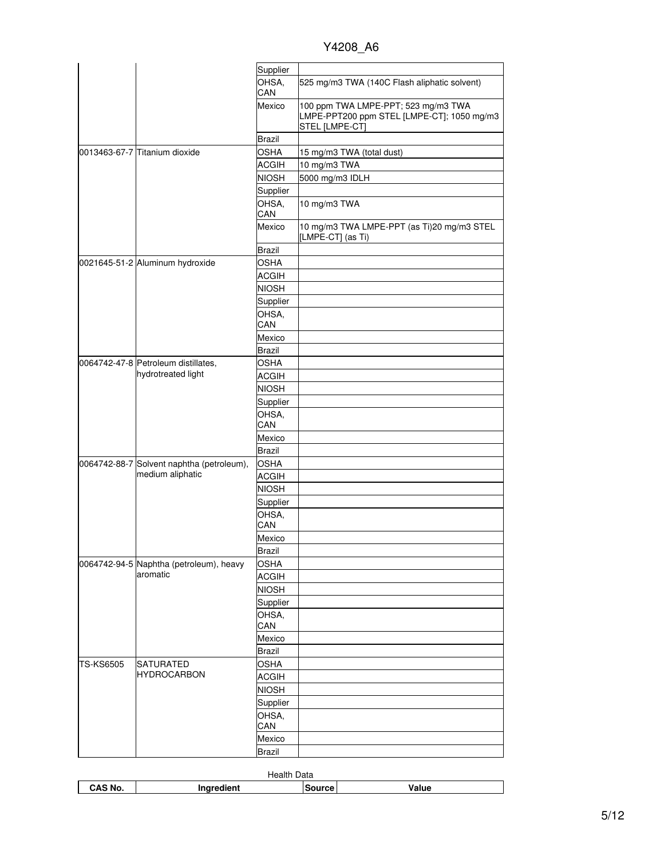|                  |                                                     | Supplier      |                                                                                                     |
|------------------|-----------------------------------------------------|---------------|-----------------------------------------------------------------------------------------------------|
|                  |                                                     | OHSA,<br>CAN  | 525 mg/m3 TWA (140C Flash aliphatic solvent)                                                        |
|                  |                                                     | Mexico        | 100 ppm TWA LMPE-PPT; 523 mg/m3 TWA<br>LMPE-PPT200 ppm STEL [LMPE-CT]; 1050 mg/m3<br>STEL [LMPE-CT] |
|                  |                                                     | Brazil        |                                                                                                     |
|                  | 0013463-67-7 Titanium dioxide                       | <b>OSHA</b>   | 15 mg/m3 TWA (total dust)                                                                           |
|                  |                                                     | <b>ACGIH</b>  | 10 mg/m3 TWA                                                                                        |
|                  |                                                     | <b>NIOSH</b>  | 5000 mg/m3 IDLH                                                                                     |
|                  |                                                     | Supplier      |                                                                                                     |
|                  |                                                     | OHSA,         | 10 mg/m3 TWA                                                                                        |
|                  |                                                     | CAN           |                                                                                                     |
|                  |                                                     | Mexico        | 10 mg/m3 TWA LMPE-PPT (as Ti)20 mg/m3 STEL<br>[LMPE-CT] (as Ti)                                     |
|                  |                                                     | Brazil        |                                                                                                     |
|                  | 0021645-51-2 Aluminum hydroxide                     | <b>OSHA</b>   |                                                                                                     |
|                  |                                                     | <b>ACGIH</b>  |                                                                                                     |
|                  |                                                     | <b>NIOSH</b>  |                                                                                                     |
|                  |                                                     | Supplier      |                                                                                                     |
|                  |                                                     | OHSA,         |                                                                                                     |
|                  |                                                     | CAN           |                                                                                                     |
|                  |                                                     | Mexico        |                                                                                                     |
|                  |                                                     | Brazil        |                                                                                                     |
|                  | 0064742-47-8 Petroleum distillates,                 | OSHA          |                                                                                                     |
|                  | hydrotreated light                                  | ACGIH         |                                                                                                     |
|                  |                                                     | NIOSH         |                                                                                                     |
|                  |                                                     | Supplier      |                                                                                                     |
|                  |                                                     | OHSA,<br>CAN  |                                                                                                     |
|                  |                                                     | Mexico        |                                                                                                     |
|                  |                                                     | Brazil        |                                                                                                     |
|                  | 0064742-88-7 Solvent naphtha (petroleum),           | <b>OSHA</b>   |                                                                                                     |
|                  | medium aliphatic                                    | <b>ACGIH</b>  |                                                                                                     |
|                  |                                                     | <b>NIOSH</b>  |                                                                                                     |
|                  |                                                     | Supplier      |                                                                                                     |
|                  |                                                     | OHSA,         |                                                                                                     |
|                  |                                                     | CAN           |                                                                                                     |
|                  |                                                     | Mexico        |                                                                                                     |
|                  |                                                     | <b>Brazil</b> |                                                                                                     |
|                  | 0064742-94-5 Naphtha (petroleum), heavy<br>aromatic | <b>OSHA</b>   |                                                                                                     |
|                  |                                                     | <b>ACGIH</b>  |                                                                                                     |
|                  |                                                     | <b>NIOSH</b>  |                                                                                                     |
|                  |                                                     | Supplier      |                                                                                                     |
|                  |                                                     | OHSA,<br>CAN  |                                                                                                     |
|                  |                                                     | Mexico        |                                                                                                     |
|                  |                                                     | Brazil        |                                                                                                     |
| <b>TS-KS6505</b> | SATURATED                                           | OSHA          |                                                                                                     |
|                  | <b>HYDROCARBON</b>                                  | ACGIH         |                                                                                                     |
|                  |                                                     | <b>NIOSH</b>  |                                                                                                     |
|                  |                                                     | Supplier      |                                                                                                     |
|                  |                                                     | OHSA,         |                                                                                                     |
|                  |                                                     | CAN           |                                                                                                     |
|                  |                                                     | Mexico        |                                                                                                     |
|                  |                                                     | Brazil        |                                                                                                     |

| Health<br>Data |                 |        |       |
|----------------|-----------------|--------|-------|
| CAS No.        | lient<br>------ | Source | Value |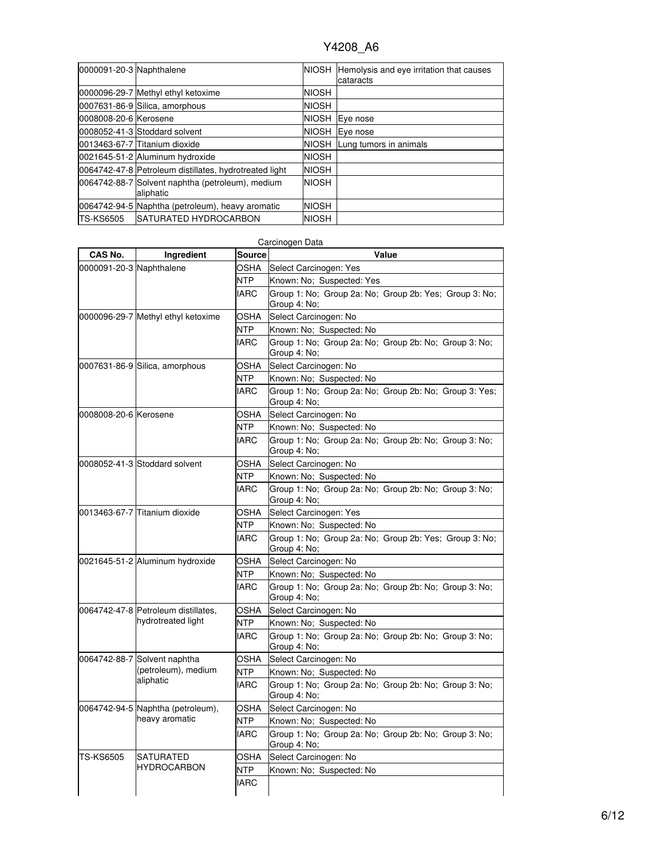| 0000091-20-3 Naphthalene |                                                               |              | NIOSH Hemolysis and eye irritation that causes<br>cataracts |
|--------------------------|---------------------------------------------------------------|--------------|-------------------------------------------------------------|
|                          | 0000096-29-7 Methyl ethyl ketoxime                            | NIOSH        |                                                             |
|                          | 0007631-86-9 Silica, amorphous                                | <b>NIOSH</b> |                                                             |
| 0008008-20-6 Kerosene    |                                                               | <b>NIOSH</b> | Eye nose                                                    |
|                          | 0008052-41-3 Stoddard solvent                                 | <b>NIOSH</b> | Eye nose                                                    |
|                          | 0013463-67-7 Titanium dioxide                                 | <b>NIOSH</b> | Lung tumors in animals                                      |
|                          | 0021645-51-2 Aluminum hydroxide                               | <b>NIOSH</b> |                                                             |
|                          | 0064742-47-8 Petroleum distillates, hydrotreated light        | <b>NIOSH</b> |                                                             |
|                          | 0064742-88-7 Solvent naphtha (petroleum), medium<br>aliphatic | <b>NIOSH</b> |                                                             |
|                          | 0064742-94-5 Naphtha (petroleum), heavy aromatic              | <b>NIOSH</b> |                                                             |
| <b>TS-KS6505</b>         | <b>ISATURATED HYDROCARBON</b>                                 | <b>NIOSH</b> |                                                             |

|                          | Carcinogen Data                                           |               |                                                                        |  |  |
|--------------------------|-----------------------------------------------------------|---------------|------------------------------------------------------------------------|--|--|
| CAS No.                  | Ingredient                                                | <b>Source</b> | Value                                                                  |  |  |
| 0000091-20-3 Naphthalene |                                                           | OSHA          | Select Carcinogen: Yes                                                 |  |  |
|                          |                                                           | NTP           | Known: No; Suspected: Yes                                              |  |  |
|                          |                                                           | <b>IARC</b>   | Group 1: No: Group 2a: No: Group 2b: Yes: Group 3: No:<br>Group 4: No; |  |  |
|                          | 0000096-29-7 Methyl ethyl ketoxime                        | OSHA          | Select Carcinogen: No                                                  |  |  |
|                          |                                                           | <b>NTP</b>    | Known: No; Suspected: No                                               |  |  |
|                          |                                                           | <b>IARC</b>   | Group 1: No; Group 2a: No; Group 2b: No; Group 3: No;<br>Group 4: No;  |  |  |
|                          | 0007631-86-9 Silica, amorphous                            | <b>OSHA</b>   | Select Carcinogen: No                                                  |  |  |
|                          |                                                           | <b>NTP</b>    | Known: No; Suspected: No                                               |  |  |
|                          |                                                           | <b>IARC</b>   | Group 1: No; Group 2a: No; Group 2b: No; Group 3: Yes;<br>Group 4: No; |  |  |
| 0008008-20-6 Kerosene    |                                                           | <b>OSHA</b>   | Select Carcinogen: No                                                  |  |  |
|                          |                                                           | <b>NTP</b>    | Known: No; Suspected: No                                               |  |  |
|                          |                                                           | <b>IARC</b>   | Group 1: No; Group 2a: No; Group 2b: No; Group 3: No;<br>Group 4: No;  |  |  |
|                          | 0008052-41-3 Stoddard solvent                             | OSHA          | Select Carcinogen: No                                                  |  |  |
|                          |                                                           | NTP           | Known: No; Suspected: No                                               |  |  |
|                          |                                                           | <b>IARC</b>   | Group 1: No; Group 2a: No; Group 2b: No; Group 3: No;<br>Group 4: No;  |  |  |
|                          | 0013463-67-7 Titanium dioxide                             | OSHA          | Select Carcinogen: Yes                                                 |  |  |
|                          |                                                           | NTP           | Known: No: Suspected: No                                               |  |  |
|                          |                                                           | <b>IARC</b>   | Group 1: No; Group 2a: No; Group 2b: Yes; Group 3: No;<br>Group 4: No; |  |  |
|                          | 0021645-51-2 Aluminum hydroxide                           | <b>OSHA</b>   | Select Carcinogen: No                                                  |  |  |
|                          |                                                           | <b>NTP</b>    | Known: No; Suspected: No                                               |  |  |
|                          |                                                           | <b>IARC</b>   | Group 1: No; Group 2a: No; Group 2b: No; Group 3: No;<br>Group 4: No;  |  |  |
|                          | 0064742-47-8 Petroleum distillates,<br>hydrotreated light | OSHA          | Select Carcinogen: No                                                  |  |  |
|                          |                                                           | <b>NTP</b>    | Known: No; Suspected: No                                               |  |  |
|                          |                                                           | <b>IARC</b>   | Group 1: No; Group 2a: No; Group 2b: No; Group 3: No;<br>Group 4: No;  |  |  |
|                          | 0064742-88-7 Solvent naphtha                              | OSHA          | Select Carcinogen: No                                                  |  |  |
|                          | (petroleum), medium<br>aliphatic                          | NTP           | Known: No; Suspected: No                                               |  |  |
|                          |                                                           | <b>IARC</b>   | Group 1: No; Group 2a: No; Group 2b: No; Group 3: No;<br>Group 4: No;  |  |  |
|                          | 0064742-94-5 Naphtha (petroleum),<br>heavy aromatic       | OSHA          | Select Carcinogen: No                                                  |  |  |
|                          |                                                           | <b>NTP</b>    | Known: No; Suspected: No                                               |  |  |
|                          |                                                           | <b>IARC</b>   | Group 1: No; Group 2a: No; Group 2b: No; Group 3: No;<br>Group 4: No;  |  |  |
| <b>TS-KS6505</b>         | <b>SATURATED</b>                                          | <b>OSHA</b>   | Select Carcinogen: No                                                  |  |  |
|                          | <b>HYDROCARBON</b>                                        | <b>NTP</b>    | Known: No; Suspected: No                                               |  |  |
|                          |                                                           | <b>IARC</b>   |                                                                        |  |  |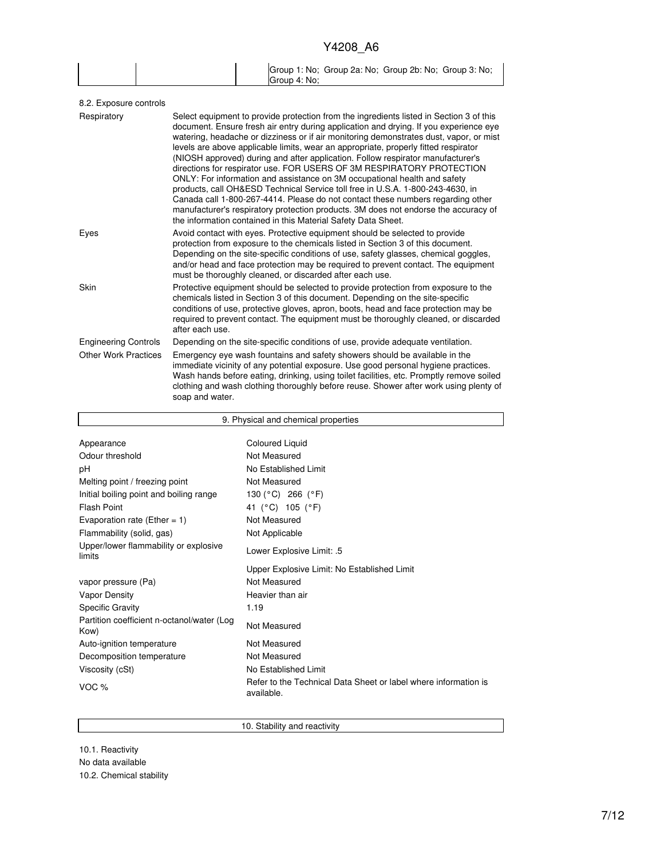| Group 1: No; Group 2a: No; Group 2b: No; Group 3: No; |
|-------------------------------------------------------|
| Group 4: No:                                          |

| Select equipment to provide protection from the ingredients listed in Section 3 of this<br>document. Ensure fresh air entry during application and drying. If you experience eye<br>watering, headache or dizziness or if air monitoring demonstrates dust, vapor, or mist<br>levels are above applicable limits, wear an appropriate, properly fitted respirator<br>(NIOSH approved) during and after application. Follow respirator manufacturer's<br>directions for respirator use. FOR USERS OF 3M RESPIRATORY PROTECTION<br>ONLY: For information and assistance on 3M occupational health and safety<br>products, call OH&ESD Technical Service toll free in U.S.A. 1-800-243-4630, in<br>Canada call 1-800-267-4414. Please do not contact these numbers regarding other<br>manufacturer's respiratory protection products. 3M does not endorse the accuracy of<br>the information contained in this Material Safety Data Sheet. |
|-----------------------------------------------------------------------------------------------------------------------------------------------------------------------------------------------------------------------------------------------------------------------------------------------------------------------------------------------------------------------------------------------------------------------------------------------------------------------------------------------------------------------------------------------------------------------------------------------------------------------------------------------------------------------------------------------------------------------------------------------------------------------------------------------------------------------------------------------------------------------------------------------------------------------------------------|
| Avoid contact with eyes. Protective equipment should be selected to provide<br>protection from exposure to the chemicals listed in Section 3 of this document.<br>Depending on the site-specific conditions of use, safety glasses, chemical goggles,<br>and/or head and face protection may be required to prevent contact. The equipment<br>must be thoroughly cleaned, or discarded after each use.                                                                                                                                                                                                                                                                                                                                                                                                                                                                                                                                  |
| Protective equipment should be selected to provide protection from exposure to the<br>chemicals listed in Section 3 of this document. Depending on the site-specific<br>conditions of use, protective gloves, apron, boots, head and face protection may be<br>required to prevent contact. The equipment must be thoroughly cleaned, or discarded<br>after each use.                                                                                                                                                                                                                                                                                                                                                                                                                                                                                                                                                                   |
| Depending on the site-specific conditions of use, provide adequate ventilation.                                                                                                                                                                                                                                                                                                                                                                                                                                                                                                                                                                                                                                                                                                                                                                                                                                                         |
| Emergency eye wash fountains and safety showers should be available in the<br>immediate vicinity of any potential exposure. Use good personal hygiene practices.<br>Wash hands before eating, drinking, using toilet facilities, etc. Promptly remove soiled<br>clothing and wash clothing thoroughly before reuse. Shower after work using plenty of<br>soap and water.                                                                                                                                                                                                                                                                                                                                                                                                                                                                                                                                                                |
|                                                                                                                                                                                                                                                                                                                                                                                                                                                                                                                                                                                                                                                                                                                                                                                                                                                                                                                                         |

| 9. Physical and chemical properties                |                                                                               |  |
|----------------------------------------------------|-------------------------------------------------------------------------------|--|
|                                                    |                                                                               |  |
| Appearance                                         | <b>Coloured Liquid</b>                                                        |  |
| Odour threshold                                    | Not Measured                                                                  |  |
| рH                                                 | No Established Limit                                                          |  |
| Melting point / freezing point                     | Not Measured                                                                  |  |
| Initial boiling point and boiling range            | 130 (°C) 266 (°F)                                                             |  |
| Flash Point                                        | 41 (°C) 105 (°F)                                                              |  |
| Evaporation rate (Ether = $1$ )                    | Not Measured                                                                  |  |
| Flammability (solid, gas)                          | Not Applicable                                                                |  |
| Upper/lower flammability or explosive<br>limits    | Lower Explosive Limit: .5                                                     |  |
|                                                    | Upper Explosive Limit: No Established Limit                                   |  |
| vapor pressure (Pa)                                | Not Measured                                                                  |  |
| <b>Vapor Density</b>                               | Heavier than air                                                              |  |
| <b>Specific Gravity</b>                            | 1.19                                                                          |  |
| Partition coefficient n-octanol/water (Log<br>Kow) | Not Measured                                                                  |  |
| Auto-ignition temperature                          | Not Measured                                                                  |  |
| Decomposition temperature                          | Not Measured                                                                  |  |
| Viscosity (cSt)                                    | No Established Limit                                                          |  |
| VOC $%$                                            | Refer to the Technical Data Sheet or label where information is<br>available. |  |

10. Stability and reactivity

10.1. Reactivity No data available 10.2. Chemical stability

 $\mathbf{r}$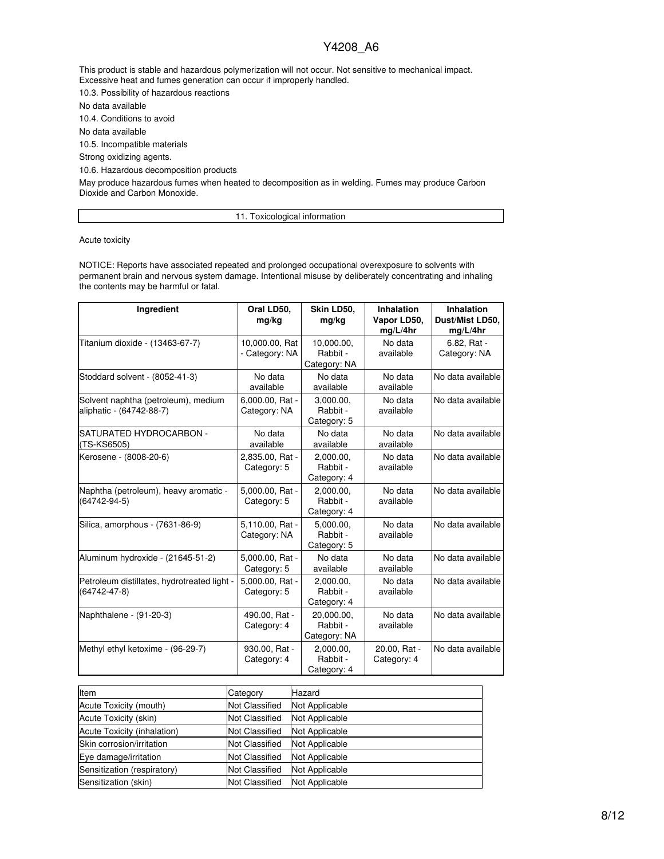This product is stable and hazardous polymerization will not occur. Not sensitive to mechanical impact. Excessive heat and fumes generation can occur if improperly handled.

10.3. Possibility of hazardous reactions

No data available

10.4. Conditions to avoid

No data available

10.5. Incompatible materials

Strong oxidizing agents.

10.6. Hazardous decomposition products

May produce hazardous fumes when heated to decomposition as in welding. Fumes may produce Carbon Dioxide and Carbon Monoxide.

11. Toxicological information

Acute toxicity

NOTICE: Reports have associated repeated and prolonged occupational overexposure to solvents with permanent brain and nervous system damage. Intentional misuse by deliberately concentrating and inhaling the contents may be harmful or fatal.

| Ingredient                                                        | Oral LD50,<br>mg/kg              | Skin LD50,<br>mg/kg                    | <b>Inhalation</b><br>Vapor LD50,<br>mg/L/4hr | Inhalation<br>Dust/Mist LD50,<br>mg/L/4hr |
|-------------------------------------------------------------------|----------------------------------|----------------------------------------|----------------------------------------------|-------------------------------------------|
| Titanium dioxide - (13463-67-7)                                   | 10,000.00, Rat<br>- Category: NA | 10,000.00,<br>Rabbit -<br>Category: NA | No data<br>available                         | 6.82, Rat -<br>Category: NA               |
| Stoddard solvent - (8052-41-3)                                    | No data<br>available             | No data<br>available                   | No data<br>available                         | No data available                         |
| Solvent naphtha (petroleum), medium<br>aliphatic - (64742-88-7)   | 6,000.00, Rat -<br>Category: NA  | 3,000.00,<br>Rabbit -<br>Category: 5   | No data<br>available                         | No data available                         |
| SATURATED HYDROCARBON -<br>(TS-KS6505)                            | No data<br>available             | No data<br>available                   | No data<br>available                         | No data available                         |
| Kerosene - (8008-20-6)                                            | 2,835.00, Rat -<br>Category: 5   | 2,000.00,<br>Rabbit -<br>Category: 4   | No data<br>available                         | No data available                         |
| Naphtha (petroleum), heavy aromatic -<br>$(64742 - 94 - 5)$       | 5,000.00, Rat -<br>Category: 5   | 2,000.00,<br>Rabbit -<br>Category: 4   | No data<br>available                         | No data available                         |
| Silica, amorphous - (7631-86-9)                                   | 5,110.00, Rat -<br>Category: NA  | 5.000.00.<br>Rabbit -<br>Category: 5   | No data<br>available                         | No data available                         |
| Aluminum hydroxide - (21645-51-2)                                 | 5,000.00, Rat -<br>Category: 5   | No data<br>available                   | No data<br>available                         | No data available                         |
| Petroleum distillates, hydrotreated light -<br>$(64742 - 47 - 8)$ | 5,000.00, Rat -<br>Category: 5   | 2,000.00,<br>Rabbit -<br>Category: 4   | No data<br>available                         | No data available                         |
| Naphthalene - (91-20-3)                                           | 490.00, Rat -<br>Category: 4     | 20.000.00.<br>Rabbit -<br>Category: NA | No data<br>available                         | No data available                         |
| Methyl ethyl ketoxime - (96-29-7)                                 | 930.00, Rat -<br>Category: 4     | 2,000.00,<br>Rabbit -<br>Category: 4   | 20.00, Rat -<br>Category: 4                  | No data available                         |

| <b>Item</b>                 | Category              | Hazard         |
|-----------------------------|-----------------------|----------------|
| Acute Toxicity (mouth)      | <b>Not Classified</b> | Not Applicable |
| Acute Toxicity (skin)       | <b>Not Classified</b> | Not Applicable |
| Acute Toxicity (inhalation) | <b>Not Classified</b> | Not Applicable |
| Skin corrosion/irritation   | <b>Not Classified</b> | Not Applicable |
| Eye damage/irritation       | <b>Not Classified</b> | Not Applicable |
| Sensitization (respiratory) | <b>Not Classified</b> | Not Applicable |
| Sensitization (skin)        | <b>Not Classified</b> | Not Applicable |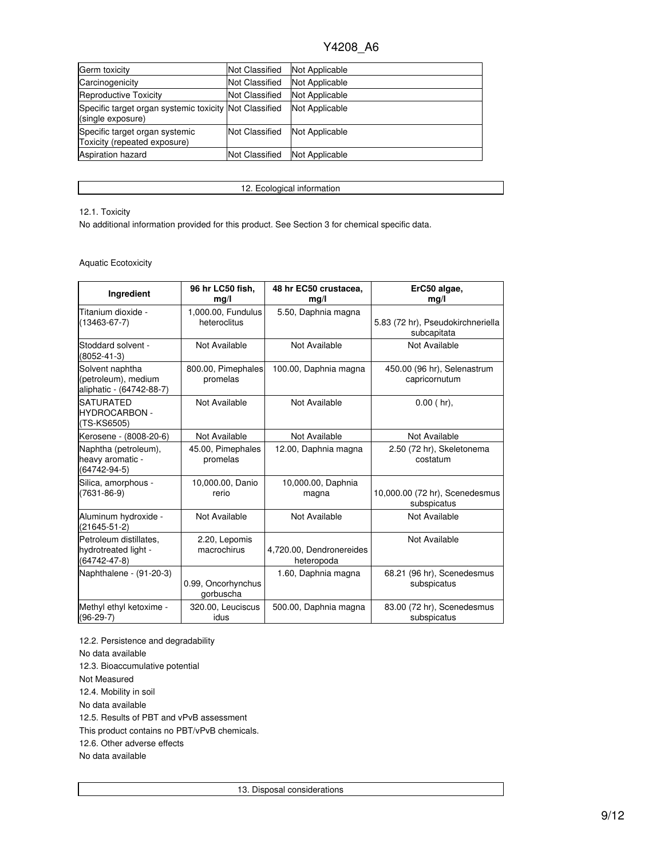| Germ toxicity                                                               | <b>Not Classified</b> | Not Applicable |
|-----------------------------------------------------------------------------|-----------------------|----------------|
| Carcinogenicity                                                             | <b>Not Classified</b> | Not Applicable |
| Reproductive Toxicity                                                       | <b>Not Classified</b> | Not Applicable |
| Specific target organ systemic toxicity Not Classified<br>(single exposure) |                       | Not Applicable |
| Specific target organ systemic<br>Toxicity (repeated exposure)              | <b>Not Classified</b> | Not Applicable |
| <b>Aspiration hazard</b>                                                    | <b>Not Classified</b> | Not Applicable |

12. Ecological information

#### 12.1. Toxicity

No additional information provided for this product. See Section 3 for chemical specific data.

#### Aquatic Ecotoxicity

| Ingredient                                                         | 96 hr LC50 fish,<br>mg/l           | 48 hr EC50 crustacea,<br>mg/l          | ErC50 algae,<br>mg/l                             |
|--------------------------------------------------------------------|------------------------------------|----------------------------------------|--------------------------------------------------|
| Titanium dioxide -<br>$(13463 - 67 - 7)$                           | 1,000.00, Fundulus<br>heteroclitus | 5.50, Daphnia magna                    | 5.83 (72 hr), Pseudokirchneriella<br>subcapitata |
| Stoddard solvent -<br>$(8052 - 41 - 3)$                            | Not Available                      | Not Available                          | Not Available                                    |
| Solvent naphtha<br>(petroleum), medium<br>aliphatic - (64742-88-7) | 800.00, Pimephales<br>promelas     | 100.00, Daphnia magna                  | 450.00 (96 hr), Selenastrum<br>capricornutum     |
| <b>SATURATED</b><br><b>HYDROCARBON -</b><br>(TS-KS6505)            | Not Available                      | Not Available                          | $0.00$ (hr).                                     |
| Kerosene - (8008-20-6)                                             | Not Available                      | Not Available                          | Not Available                                    |
| Naphtha (petroleum),<br>heavy aromatic -<br>$(64742 - 94 - 5)$     | 45.00, Pimephales<br>promelas      | 12.00, Daphnia magna                   | 2.50 (72 hr), Skeletonema<br>costatum            |
| Silica, amorphous -<br>$(7631 - 86 - 9)$                           | 10,000.00, Danio<br>rerio          | 10,000.00, Daphnia<br>magna            | 10,000.00 (72 hr), Scenedesmus<br>subspicatus    |
| Aluminum hydroxide -<br>$(21645 - 51 - 2)$                         | Not Available                      | Not Available                          | Not Available                                    |
| Petroleum distillates,<br>hydrotreated light -<br>(64742-47-8)     | 2.20, Lepomis<br>macrochirus       | 4,720.00, Dendronereides<br>heteropoda | Not Available                                    |
| Naphthalene - (91-20-3)                                            | 0.99, Oncorhynchus<br>gorbuscha    | 1.60, Daphnia magna                    | 68.21 (96 hr), Scenedesmus<br>subspicatus        |
| Methyl ethyl ketoxime -<br>$(96-29-7)$                             | 320.00, Leuciscus<br>idus          | 500.00, Daphnia magna                  | 83.00 (72 hr), Scenedesmus<br>subspicatus        |

12.2. Persistence and degradability No data available 12.3. Bioaccumulative potential Not Measured 12.4. Mobility in soil No data available 12.5. Results of PBT and vPvB assessment This product contains no PBT/vPvB chemicals. 12.6. Other adverse effects No data available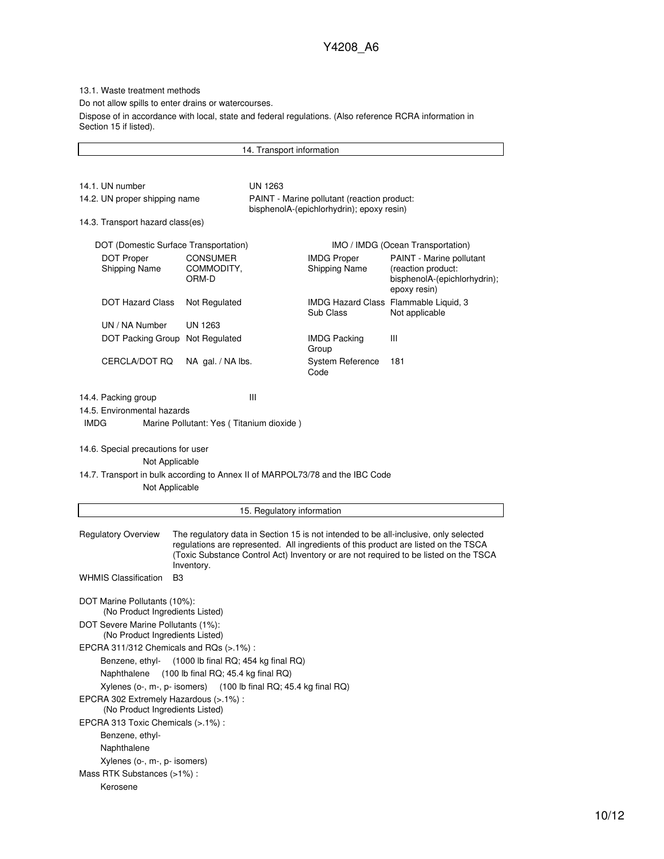13.1. Waste treatment methods

Do not allow spills to enter drains or watercourses.

Dispose of in accordance with local, state and federal regulations. (Also reference RCRA information in Section 15 if listed).

14. Transport information 14.1. UN number UN 1263 14.2. UN proper shipping name PAINT - Marine pollutant (reaction product: bisphenolA-(epichlorhydrin); epoxy resin) 14.3. Transport hazard class(es) DOT (Domestic Surface Transportation) IMO / IMDG (Ocean Transportation) DOT Proper Shipping Name CONSUMER COMMODITY, ORM-D IMDG Proper Shipping Name PAINT - Marine pollutant (reaction product: bisphenolA-(epichlorhydrin); epoxy resin) DOT Hazard Class Not Regulated IMDG Hazard Class Flammable Liquid, 3 Sub Class Not applicable UN / NA Number UN 1263 DOT Packing Group Not Regulated IMDG Packing Group III CERCLA/DOT RQ NA gal. / NA lbs. System Reference Code 181 14.4. Packing group III 14.5. Environmental hazards IMDG Marine Pollutant: Yes ( Titanium dioxide ) 14.6. Special precautions for user Not Applicable 14.7. Transport in bulk according to Annex II of MARPOL73/78 and the IBC Code Not Applicable 15. Regulatory information Regulatory Overview The regulatory data in Section 15 is not intended to be all-inclusive, only selected regulations are represented. All ingredients of this product are listed on the TSCA (Toxic Substance Control Act) Inventory or are not required to be listed on the TSCA Inventory. WHMIS Classification B3 DOT Marine Pollutants (10%): (No Product Ingredients Listed) DOT Severe Marine Pollutants (1%): (No Product Ingredients Listed) EPCRA 311/312 Chemicals and RQs (>.1%) : Benzene, ethyl- (1000 lb final RQ; 454 kg final RQ) Naphthalene (100 lb final RQ; 45.4 kg final RQ) Xylenes (o-, m-, p- isomers) (100 lb final RQ; 45.4 kg final RQ) EPCRA 302 Extremely Hazardous (>.1%) : (No Product Ingredients Listed) EPCRA 313 Toxic Chemicals (>.1%) : Benzene, ethyl-Naphthalene Xylenes (o-, m-, p- isomers) Mass RTK Substances (>1%) : Kerosene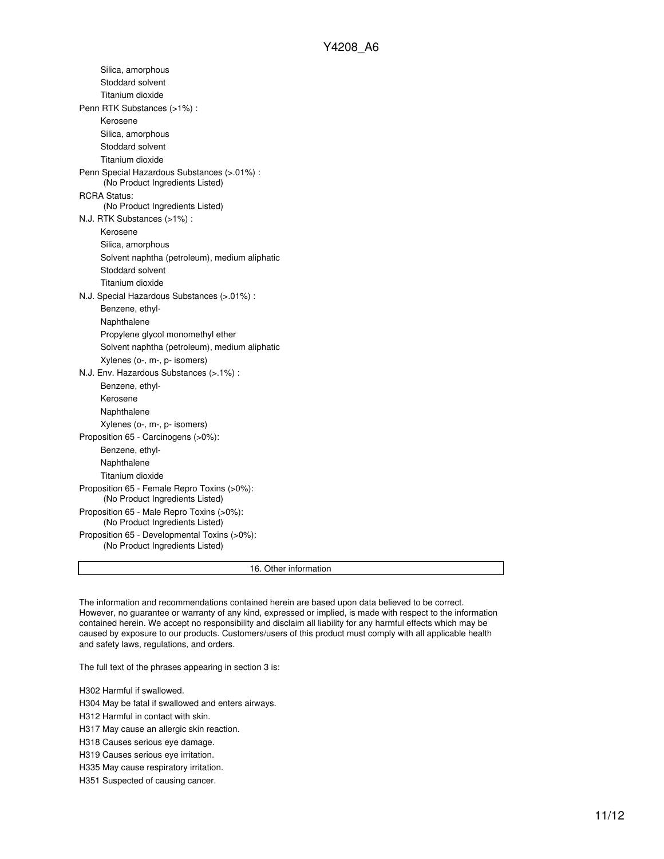| Silica, amorphous                                                               |
|---------------------------------------------------------------------------------|
| Stoddard solvent                                                                |
| Titanium dioxide                                                                |
| Penn RTK Substances (>1%) :                                                     |
| Kerosene                                                                        |
| Silica, amorphous                                                               |
| Stoddard solvent                                                                |
| Titanium dioxide                                                                |
| Penn Special Hazardous Substances (>.01%) :<br>(No Product Ingredients Listed)  |
| <b>RCRA Status:</b>                                                             |
| (No Product Ingredients Listed)                                                 |
| N.J. RTK Substances (>1%):                                                      |
| Kerosene                                                                        |
| Silica, amorphous                                                               |
| Solvent naphtha (petroleum), medium aliphatic                                   |
| Stoddard solvent                                                                |
| Titanium dioxide                                                                |
| N.J. Special Hazardous Substances (>.01%) :                                     |
| Benzene, ethyl-                                                                 |
| Naphthalene                                                                     |
| Propylene glycol monomethyl ether                                               |
| Solvent naphtha (petroleum), medium aliphatic                                   |
| Xylenes (o-, m-, p- isomers)                                                    |
| N.J. Env. Hazardous Substances (>.1%) :                                         |
| Benzene, ethyl-                                                                 |
| Kerosene                                                                        |
| Naphthalene                                                                     |
| Xylenes (o-, m-, p- isomers)                                                    |
| Proposition 65 - Carcinogens (>0%):                                             |
| Benzene, ethyl-                                                                 |
| Naphthalene                                                                     |
| Titanium dioxide                                                                |
| Proposition 65 - Female Repro Toxins (>0%):<br>(No Product Ingredients Listed)  |
| Proposition 65 - Male Repro Toxins (>0%):<br>(No Product Ingredients Listed)    |
| Proposition 65 - Developmental Toxins (>0%):<br>(No Product Ingredients Listed) |
| 16. Other information                                                           |

The information and recommendations contained herein are based upon data believed to be correct. However, no guarantee or warranty of any kind, expressed or implied, is made with respect to the information contained herein. We accept no responsibility and disclaim all liability for any harmful effects which may be caused by exposure to our products. Customers/users of this product must comply with all applicable health and safety laws, regulations, and orders.

The full text of the phrases appearing in section 3 is:

H302 Harmful if swallowed.

H304 May be fatal if swallowed and enters airways.

H312 Harmful in contact with skin.

H317 May cause an allergic skin reaction.

H318 Causes serious eye damage.

H319 Causes serious eye irritation.

H335 May cause respiratory irritation.

H351 Suspected of causing cancer.